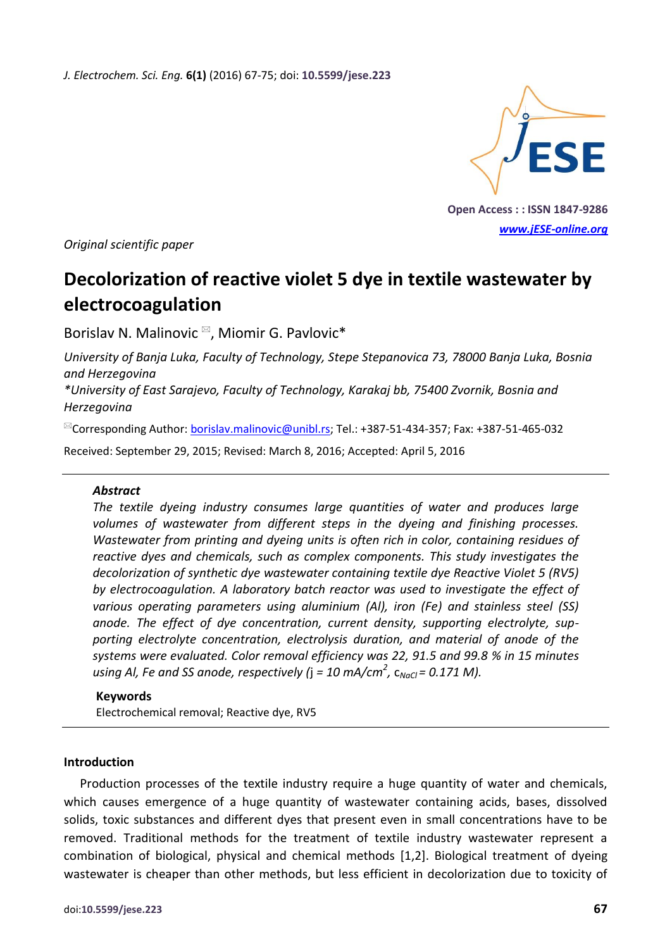*J. Electrochem. Sci. Eng.* **6(1)** (2016) 67-75; doi: **10.5599/jese.223**



**Open Access : : ISSN 1847-9286** *[www.jESE-online.org](http://www.jese-online.org/)*

*Original scientific paper*

# **Decolorization of reactive violet 5 dye in textile wastewater by electrocoagulation**

Borislav N. Malinovic<sup>⊠</sup>, Miomir G. Pavlovic<sup>\*</sup>

*University of Banja Luka, Faculty of Technology, Stepe Stepanovica 73, 78000 Banja Luka, Bosnia and Herzegovina*

*\*University of East Sarajevo, Faculty of Technology, Karakaj bb, 75400 Zvornik, Bosnia and Herzegovina*

<sup>⊠</sup>Corresponding Author: [borislav.malinovic@unibl.rs;](mailto:borislav.malinovic@unibl.rs) Tel.: +387-51-434-357; Fax: +387-51-465-032

Received: September 29, 2015; Revised: March 8, 2016; Accepted: April 5, 2016

## *Abstract*

*The textile dyeing industry consumes large quantities of water and produces large volumes of wastewater from different steps in the dyeing and finishing processes. Wastewater from printing and dyeing units is often rich in color, containing residues of reactive dyes and chemicals, such as complex components. This study investigates the decolorization of synthetic dye wastewater containing textile dye Reactive Violet 5 (RV5) by electrocoagulation. A laboratory batch reactor was used to investigate the effect of various operating parameters using aluminium (Al), iron (Fe) and stainless steel (SS) anode. The effect of dye concentration, current density, supporting electrolyte, supporting electrolyte concentration, electrolysis duration, and material of anode of the systems were evaluated. Color removal efficiency was 22, 91.5 and 99.8 % in 15 minutes using Al, Fe and SS anode, respectively (*j *= 10 mA/cm<sup>2</sup> ,* c*NaCl = 0.171 M).*

## **Keywords**

Electrochemical removal; Reactive dye, RV5

#### **Introduction**

Production processes of the textile industry require a huge quantity of water and chemicals, which causes emergence of a huge quantity of wastewater containing acids, bases, dissolved solids, toxic substances and different dyes that present even in small concentrations have to be removed. Traditional methods for the treatment of textile industry wastewater represent a combination of biological, physical and chemical methods [1,2]. Biological treatment of dyeing wastewater is cheaper than other methods, but less efficient in decolorization due to toxicity of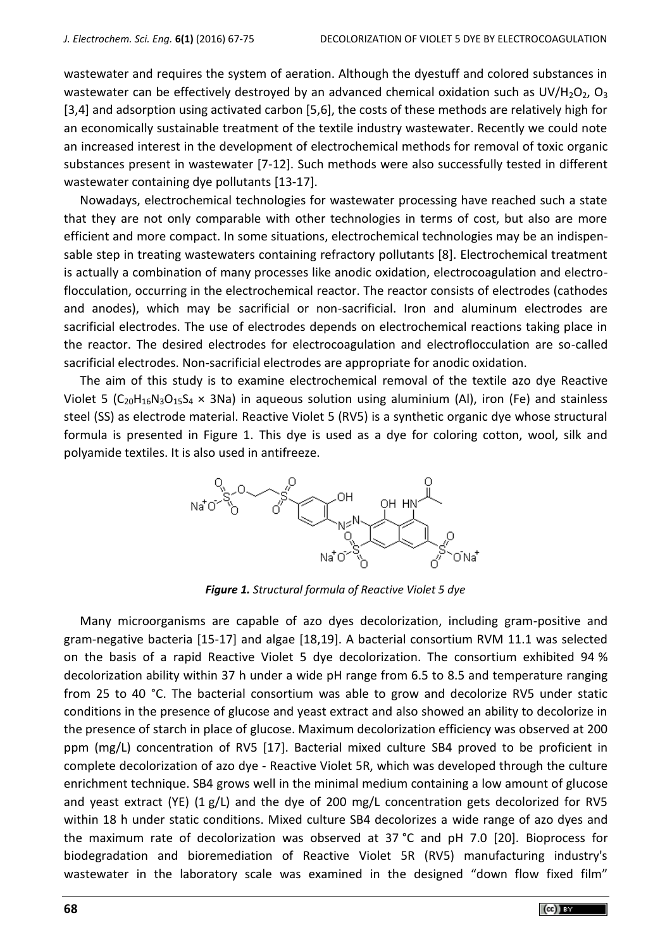wastewater and requires the system of aeration. Although the dyestuff and colored substances in wastewater can be effectively destroyed by an advanced chemical oxidation such as UV/H<sub>2</sub>O<sub>2</sub>, O<sub>3</sub> [3,4] and adsorption using activated carbon [5,6], the costs of these methods are relatively high for an economically sustainable treatment of the textile industry wastewater. Recently we could note an increased interest in the development of electrochemical methods for removal of toxic organic substances present in wastewater [7-12]. Such methods were also successfully tested in different wastewater containing dye pollutants [13-17].

Nowadays, electrochemical technologies for wastewater processing have reached such a state that they are not only comparable with other technologies in terms of cost, but also are more efficient and more compact. In some situations, electrochemical technologies may be an indispensable step in treating wastewaters containing refractory pollutants [8]. Electrochemical treatment is actually a combination of many processes like anodic oxidation, electrocoagulation and electroflocculation, occurring in the electrochemical reactor. The reactor consists of electrodes (cathodes and anodes), which may be sacrificial or non-sacrificial. Iron and aluminum electrodes are sacrificial electrodes. The use of electrodes depends on electrochemical reactions taking place in the reactor. The desired electrodes for electrocoagulation and electroflocculation are so-called sacrificial electrodes. Non-sacrificial electrodes are appropriate for anodic oxidation.

The aim of this study is to examine electrochemical removal of the textile azo dye Reactive Violet 5 ( $C_{20}H_{16}N_3O_{15}S_4 \times 3Na$ ) in aqueous solution using aluminium (Al), iron (Fe) and stainless steel (SS) as electrode material. Reactive Violet 5 (RV5) is a synthetic organic dye whose structural formula is presented in Figure 1. This dye is used as a dye for coloring cotton, wool, silk and polyamide textiles. It is also used in antifreeze.



*Figure 1. Structural formula of Reactive Violet 5 dye*

Many microorganisms are capable of azo dyes decolorization, including gram-positive and gram-negative bacteria [15-17] and algae [18,19]. A bacterial consortium RVM 11.1 was selected on the basis of a rapid Reactive Violet 5 dye decolorization. The consortium exhibited 94 % decolorization ability within 37 h under a wide pH range from 6.5 to 8.5 and temperature ranging from 25 to 40 °C. The bacterial consortium was able to grow and decolorize RV5 under static conditions in the presence of glucose and yeast extract and also showed an ability to decolorize in the presence of starch in place of glucose. Maximum decolorization efficiency was observed at 200 ppm (mg/L) concentration of RV5 [17]. Bacterial mixed culture SB4 proved to be proficient in complete decolorization of azo dye - Reactive Violet 5R, which was developed through the culture enrichment technique. SB4 grows well in the minimal medium containing a low amount of glucose and yeast extract (YE)  $(1 g/L)$  and the dye of 200 mg/L concentration gets decolorized for RV5 within 18 h under static conditions. Mixed culture SB4 decolorizes a wide range of azo dyes and the maximum rate of decolorization was observed at 37 °C and pH 7.0 [20]. Bioprocess for biodegradation and bioremediation of Reactive Violet 5R (RV5) manufacturing industry's wastewater in the laboratory scale was examined in the designed "down flow fixed film"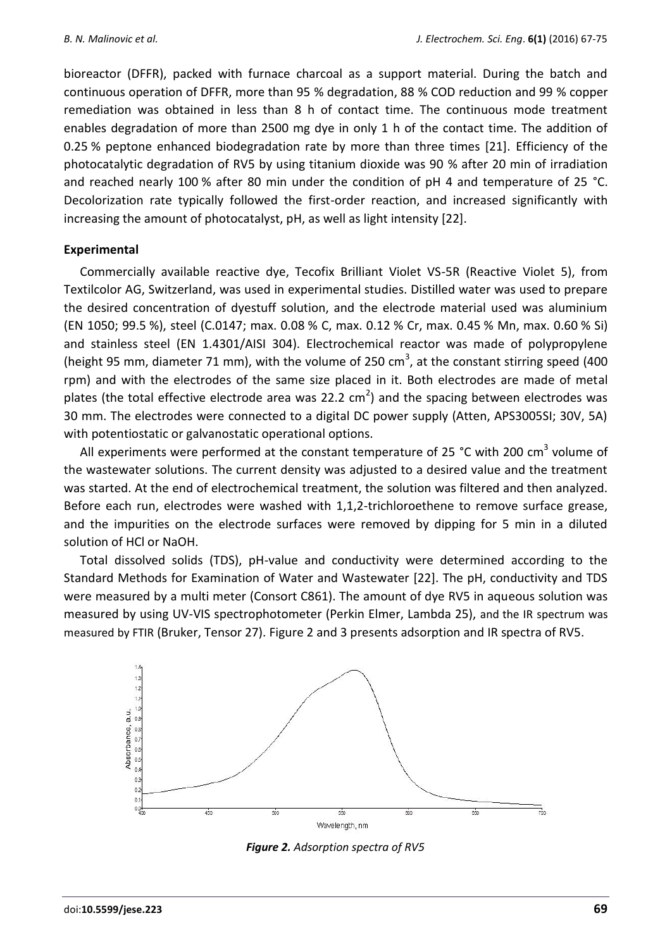bioreactor (DFFR), packed with furnace charcoal as a support material. During the batch and continuous operation of DFFR, more than 95 % degradation, 88 % COD reduction and 99 % copper remediation was obtained in less than 8 h of contact time. The continuous mode treatment enables degradation of more than 2500 mg dye in only 1 h of the contact time. The addition of 0.25 % peptone enhanced biodegradation rate by more than three times [21]. Efficiency of the photocatalytic degradation of RV5 by using titanium dioxide was 90 % after 20 min of irradiation and reached nearly 100 % after 80 min under the condition of pH 4 and temperature of 25 °C. Decolorization rate typically followed the first-order reaction, and increased significantly with increasing the amount of photocatalyst, pH, as well as light intensity [22].

# **Experimental**

Commercially available reactive dye, Tecofix Brilliant Violet VS-5R (Reactive Violet 5), from Textilcolor AG, Switzerland, was used in experimental studies. Distilled water was used to prepare the desired concentration of dyestuff solution, and the electrode material used was aluminium (EN 1050; 99.5 %), steel (C.0147; max. 0.08 % C, max. 0.12 % Cr, max. 0.45 % Mn, max. 0.60 % Si) and stainless steel (EN 1.4301/AISI 304). Electrochemical reactor was made of polypropylene (height 95 mm, diameter 71 mm), with the volume of 250 cm<sup>3</sup>, at the constant stirring speed (400 rpm) and with the electrodes of the same size placed in it. Both electrodes are made of metal plates (the total effective electrode area was 22.2 cm<sup>2</sup>) and the spacing between electrodes was 30 mm. The electrodes were connected to a digital DC power supply (Atten, APS3005SI; 30V, 5A) with potentiostatic or galvanostatic operational options.

All experiments were performed at the constant temperature of 25 °C with 200 cm<sup>3</sup> volume of the wastewater solutions. The current density was adjusted to a desired value and the treatment was started. At the end of electrochemical treatment, the solution was filtered and then analyzed. Before each run, electrodes were washed with 1,1,2-trichloroethene to remove surface grease, and the impurities on the electrode surfaces were removed by dipping for 5 min in a diluted solution of HCl or NaOH.

Total dissolved solids (TDS), pH-value and conductivity were determined according to the Standard Methods for Examination of Water and Wastewater [22]. The pH, conductivity and TDS were measured by a multi meter (Consort C861). The amount of dye RV5 in aqueous solution was measured by using UV-VIS spectrophotometer (Perkin Elmer, Lambda 25), and the IR spectrum was measured by FTIR (Bruker, Tensor 27). Figure 2 and 3 presents adsorption and IR spectra of RV5.



*Figure 2. Adsorption spectra of RV5*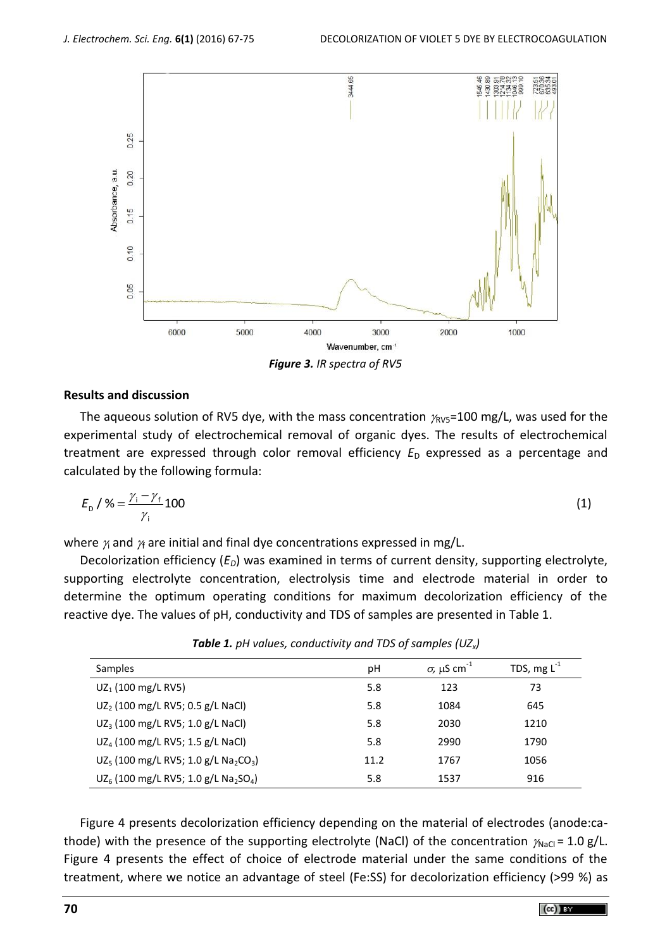

*Figure 3. IR spectra of RV5*

## **Results and discussion**

The aqueous solution of RV5 dye, with the mass concentration  $\gamma_{\text{RV5}}$ =100 mg/L, was used for the experimental study of electrochemical removal of organic dyes. The results of electrochemical treatment are expressed through color removal efficiency  $E_D$  expressed as a percentage and calculated by the following formula:

$$
E_{\rm D} / \% = \frac{\gamma_{\rm i} - \gamma_{\rm f}}{\gamma_{\rm i}} 100 \tag{1}
$$

where  $\gamma$  and  $\gamma$  are initial and final dye concentrations expressed in mg/L.

Decolorization efficiency (*ED*) was examined in terms of current density, supporting electrolyte, supporting electrolyte concentration, electrolysis time and electrode material in order to determine the optimum operating conditions for maximum decolorization efficiency of the reactive dye. The values of pH, conductivity and TDS of samples are presented in Table 1.

| Samples                                                                  | рH   | $\sigma$ , μS cm <sup>-1</sup> | TDS, mg $L^{-1}$ |
|--------------------------------------------------------------------------|------|--------------------------------|------------------|
| $UZ_1$ (100 mg/L RV5)                                                    | 5.8  | 123                            | 73               |
| $UZ_2$ (100 mg/L RV5; 0.5 g/L NaCl)                                      | 5.8  | 1084                           | 645              |
| $UZ_3$ (100 mg/L RV5; 1.0 g/L NaCl)                                      | 5.8  | 2030                           | 1210             |
| UZ <sub>4</sub> (100 mg/L RV5; 1.5 g/L NaCl)                             | 5.8  | 2990                           | 1790             |
| UZ <sub>5</sub> (100 mg/L RV5; 1.0 g/L Na <sub>2</sub> CO <sub>3</sub> ) | 11.2 | 1767                           | 1056             |
| UZ <sub>6</sub> (100 mg/L RV5; 1.0 g/L Na <sub>2</sub> SO <sub>4</sub> ) | 5.8  | 1537                           | 916              |

*Table 1. pH values, conductivity and TDS of samples (UZx)*

Figure 4 presents decolorization efficiency depending on the material of electrodes (anode:cathode) with the presence of the supporting electrolyte (NaCl) of the concentration  $\gamma_{\text{NaCl}} = 1.0 \text{ g/L}$ . Figure 4 presents the effect of choice of electrode material under the same conditions of the treatment, where we notice an advantage of steel (Fe:SS) for decolorization efficiency (>99 %) as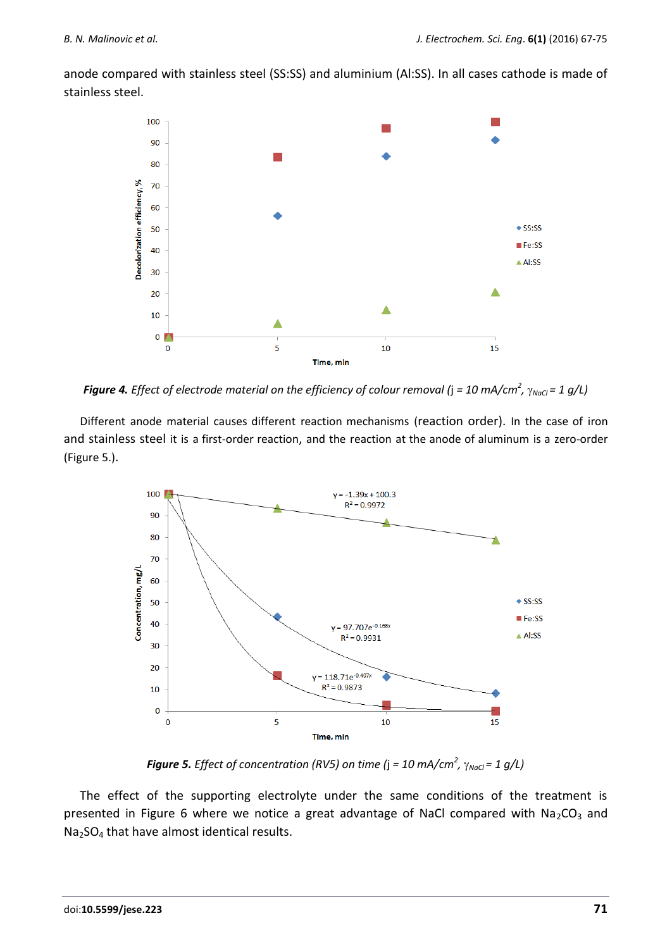anode compared with stainless steel (SS:SS) and aluminium (Al:SS). In all cases cathode is made of stainless steel.



*Figure 4. Effect of electrode material on the efficiency of colour removal (* $j$  *= 10 mA/cm* $^2$ *,*  $\gamma_{\textit{NaCl}}$  *= 1 g/L)* 

Different anode material causes different reaction mechanisms (reaction order). In the case of iron and stainless steel it is a first-order reaction, and the reaction at the anode of aluminum is a zero-order (Figure 5.).



*Figure 5. Effect of concentration (RV5) on time (*j *= 10 mA/cm<sup>2</sup> , NaCl = 1 g/L)*

The effect of the supporting electrolyte under the same conditions of the treatment is presented in Figure 6 where we notice a great advantage of NaCl compared with  $Na<sub>2</sub>CO<sub>3</sub>$  and Na<sub>2</sub>SO<sub>4</sub> that have almost identical results.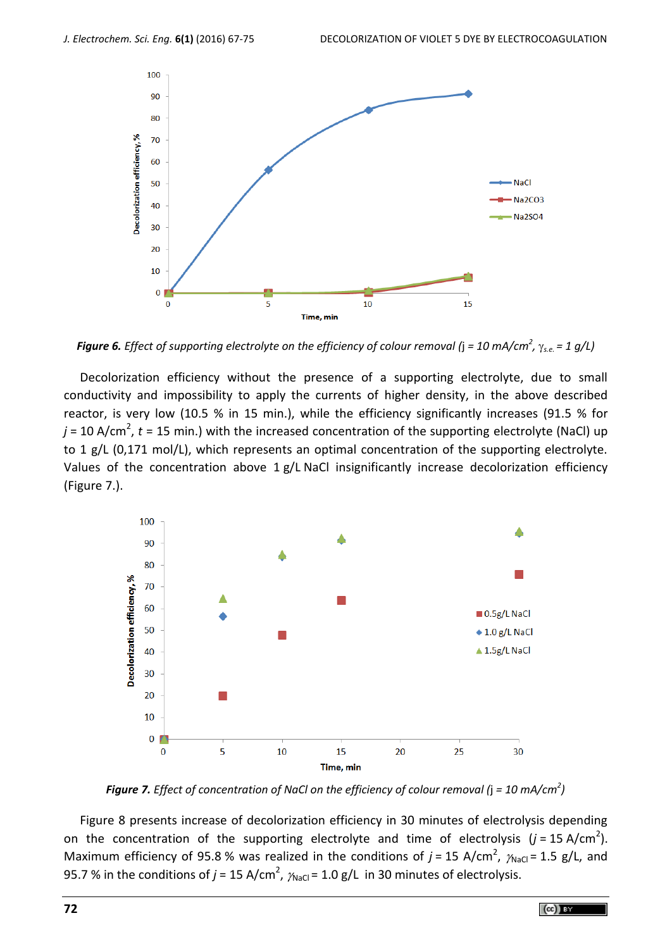

*Figure 6. Effect of supporting electrolyte on the efficiency of colour removal (*j *= 10 mA/cm<sup>2</sup> , s.e. = 1 g/L)* 

Decolorization efficiency without the presence of a supporting electrolyte, due to small conductivity and impossibility to apply the currents of higher density, in the above described reactor, is very low (10.5 % in 15 min.), while the efficiency significantly increases (91.5 % for *j* = 10 A/cm<sup>2</sup>, *t* = 15 min.) with the increased concentration of the supporting electrolyte (NaCl) up to 1 g/L (0,171 mol/L), which represents an optimal concentration of the supporting electrolyte. Values of the concentration above  $1 g/L$  NaCl insignificantly increase decolorization efficiency (Figure 7.).



*Figure 7. Effect of concentration of NaCl on the efficiency of colour removal (*j *= 10 mA/cm<sup>2</sup> )*

Figure 8 presents increase of decolorization efficiency in 30 minutes of electrolysis depending on the concentration of the supporting electrolyte and time of electrolysis  $(j = 15 \text{ A/cm}^2)$ . Maximum efficiency of 95.8 % was realized in the conditions of  $j = 15 \text{ A/cm}^2$ ,  $\gamma_{\text{NaCl}} = 1.5 \text{ g/L}$ , and 95.7 % in the conditions of  $j$  = 15 A/cm<sup>2</sup>,  $\gamma_{\text{NaCl}}$  = 1.0 g/L  $\,$  in 30 minutes of electrolysis.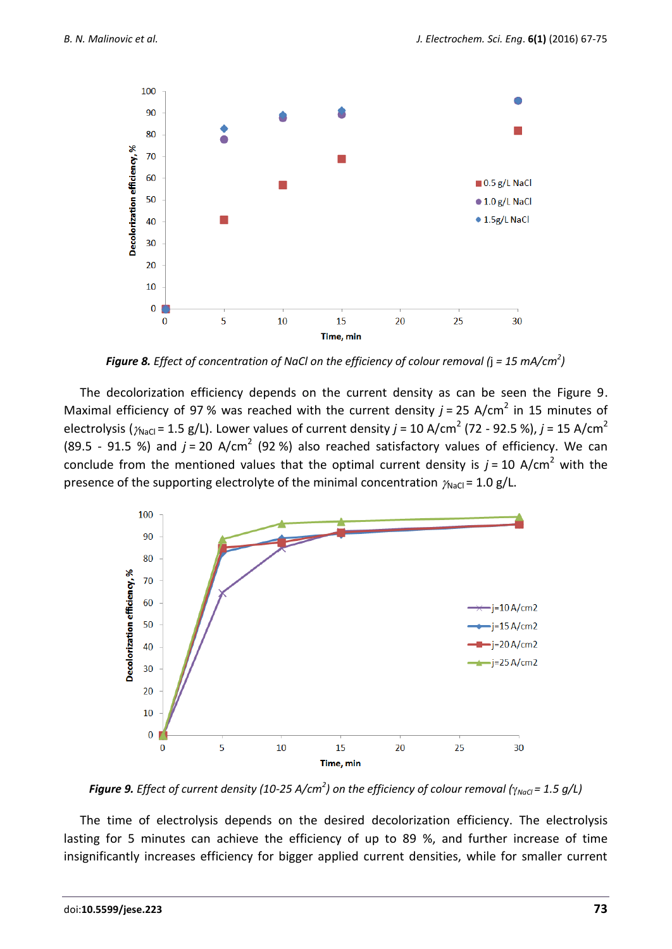

*Figure 8. Effect of concentration of NaCl on the efficiency of colour removal (*j *= 15 mA/cm<sup>2</sup> )*

The decolorization efficiency depends on the current density as can be seen the Figure 9. Maximal efficiency of 97 % was reached with the current density  $j$  = 25 A/cm<sup>2</sup> in 15 minutes of electrolysis ( $\gamma_{\sf NaCl}$  = 1.5 g/L). Lower values of current density *j* = 10 A/cm<sup>2</sup> (72 - 92.5 %), *j* = 15 A/cm<sup>2</sup> (89.5 - 91.5 %) and  $j = 20$  A/cm<sup>2</sup> (92 %) also reached satisfactory values of efficiency. We can conclude from the mentioned values that the optimal current density is  $j = 10$  A/cm<sup>2</sup> with the presence of the supporting electrolyte of the minimal concentration  $\gamma_{\text{NaCl}} = 1.0 \text{ g/L}$ .



*Figure 9. Effect of current density (10-25 A/cm<sup>2</sup>) on the efficiency of colour removal (* $\gamma_{NaCl}$  *= 1.5 g/L)* 

The time of electrolysis depends on the desired decolorization efficiency. The electrolysis lasting for 5 minutes can achieve the efficiency of up to 89 %, and further increase of time insignificantly increases efficiency for bigger applied current densities, while for smaller current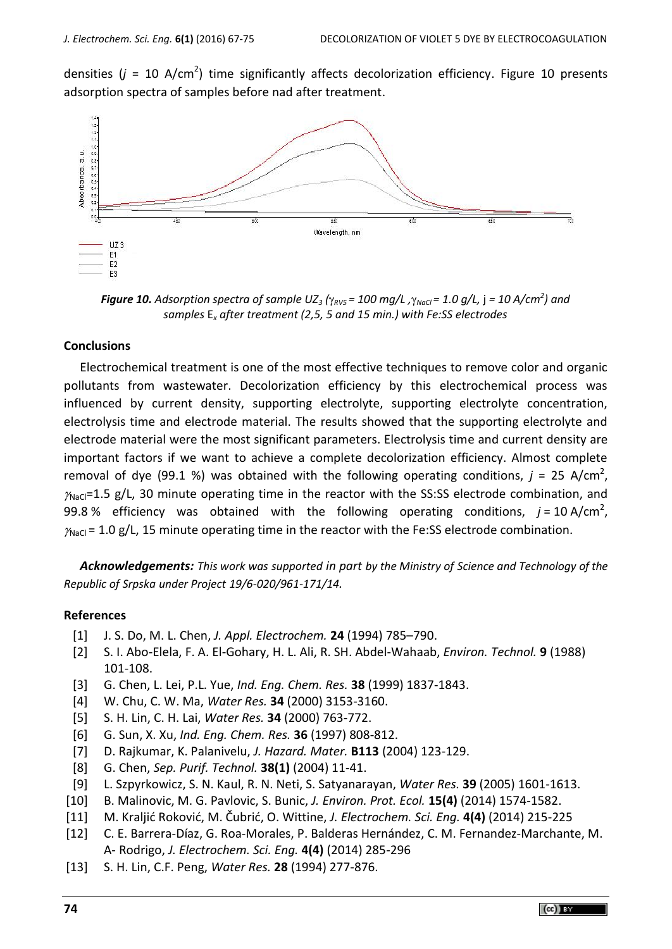densities  $(j = 10 \text{ A/cm}^2)$  time significantly affects decolorization efficiency. Figure 10 presents adsorption spectra of samples before nad after treatment.



*<i>Figure 10. Adsorption spectra of sample UZ* $_3$  *(* $\gamma_{\scriptscriptstyle RVS}$  *= 100 mg/L ,* $\gamma_{\scriptscriptstyle NoG}$  *= 1.0 g/L,*  $j$  *= 10 A/cm* $^2$ *) and samples* E*<sup>x</sup> after treatment (2,5, 5 and 15 min.) with Fe:SS electrodes*

## **Conclusions**

Electrochemical treatment is one of the most effective techniques to remove color and organic pollutants from wastewater. Decolorization efficiency by this electrochemical process was influenced by current density, supporting electrolyte, supporting electrolyte concentration, electrolysis time and electrode material. The results showed that the supporting electrolyte and electrode material were the most significant parameters. Electrolysis time and current density are important factors if we want to achieve a complete decolorization efficiency. Almost complete removal of dye (99.1 %) was obtained with the following operating conditions,  $j = 25$  A/cm<sup>2</sup>,  $\gamma_{\text{NaCl}}$ =1.5 g/L, 30 minute operating time in the reactor with the SS:SS electrode combination, and 99.8 % efficiency was obtained with the following operating conditions,  $j = 10 \text{ A/cm}^2$ ,  $\gamma_{\text{NaCl}}$  = 1.0 g/L, 15 minute operating time in the reactor with the Fe:SS electrode combination.

*Acknowledgements: This work was supported in part by the Ministry of Science and Technology of the Republic of Srpska under Project 19/6-020/961-171/14.*

## **References**

- [1] J. S. Do, M. L. Chen, *J. Appl. Electrochem.* **24** (1994) 785–790.
- [2] S. I. Abo-Elela, F. A. El-Gohary, H. L. Ali, R. SH. Abdel-Wahaab, *Environ. Technol.* **9** (1988) 101-108.
- [3] G. Chen, L. Lei, P.L. Yue, *Ind. Eng. Chem. Res.* **38** (1999) 1837-1843.
- [4] W. Chu, C. W. Ma, *Water Res.* **34** (2000) 3153-3160.
- [5] S. H. Lin, C. H. Lai, *Water Res.* **34** (2000) 763-772.
- [6] G. Sun, X. Xu, *Ind. Eng. Chem. Res.* **36** (1997) 808-812.
- [7] D. Rajkumar, K. Palanivelu, *J. Hazard. Mater.* **B113** (2004) 123-129.
- [8] G. Chen, *Sep. Purif. Technol.* **38(1)** (2004) 11-41.
- [9] L. Szpyrkowicz, S. N. Kaul, R. N. Neti, S. Satyanarayan, *Water Res.* **39** (2005) 1601-1613.
- [10] B. Malinovic, M. G. Pavlovic, S. Bunic, *J. Environ. Prot. Ecol.* **15(4)** (2014) 1574-1582.
- [11] M. Kraljić Roković, M. Čubrić, O. Wittine, *J. Electrochem. Sci. Eng.* **4(4)** (2014) 215-225
- [12] C. E. Barrera-Díaz, G. Roa-Morales, P. Balderas Hernández, C. M. Fernandez-Marchante, M. A- Rodrigo, *J. Electrochem. Sci. Eng.* **4(4)** (2014) 285-296
- [13] S. H. Lin, C.F. Peng, *Water Res.* **28** (1994) 277-876.